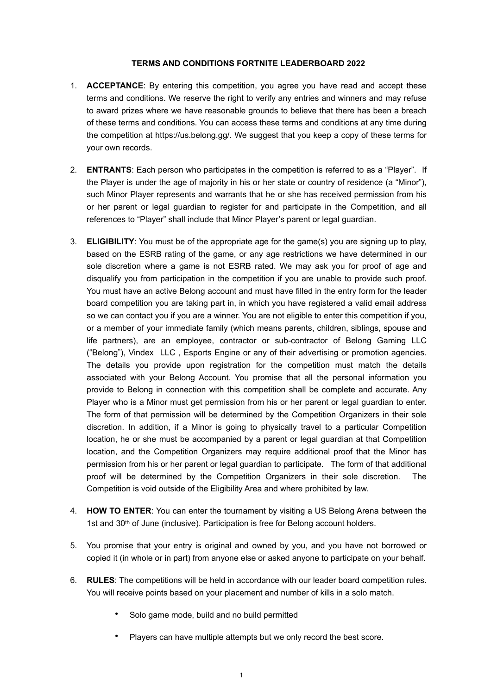## **TERMS AND CONDITIONS FORTNITE LEADERBOARD 2022**

- 1. **ACCEPTANCE**: By entering this competition, you agree you have read and accept these terms and conditions. We reserve the right to verify any entries and winners and may refuse to award prizes where we have reasonable grounds to believe that there has been a breach of these terms and conditions. You can access these terms and conditions at any time during the competition at https://us.belong.gg/. We suggest that you keep a copy of these terms for your own records.
- 2. **ENTRANTS**: Each person who participates in the competition is referred to as a "Player". If the Player is under the age of majority in his or her state or country of residence (a "Minor"), such Minor Player represents and warrants that he or she has received permission from his or her parent or legal guardian to register for and participate in the Competition, and all references to "Player" shall include that Minor Player's parent or legal guardian.
- 3. **ELIGIBILITY**: You must be of the appropriate age for the game(s) you are signing up to play, based on the ESRB rating of the game, or any age restrictions we have determined in our sole discretion where a game is not ESRB rated. We may ask you for proof of age and disqualify you from participation in the competition if you are unable to provide such proof. You must have an active Belong account and must have filled in the entry form for the leader board competition you are taking part in, in which you have registered a valid email address so we can contact you if you are a winner. You are not eligible to enter this competition if you, or a member of your immediate family (which means parents, children, siblings, spouse and life partners), are an employee, contractor or sub-contractor of Belong Gaming LLC ("Belong"), Vindex LLC , Esports Engine or any of their advertising or promotion agencies. The details you provide upon registration for the competition must match the details associated with your Belong Account. You promise that all the personal information you provide to Belong in connection with this competition shall be complete and accurate. Any Player who is a Minor must get permission from his or her parent or legal guardian to enter. The form of that permission will be determined by the Competition Organizers in their sole discretion. In addition, if a Minor is going to physically travel to a particular Competition location, he or she must be accompanied by a parent or legal guardian at that Competition location, and the Competition Organizers may require additional proof that the Minor has permission from his or her parent or legal guardian to participate. The form of that additional proof will be determined by the Competition Organizers in their sole discretion. The Competition is void outside of the Eligibility Area and where prohibited by law.
- 4. **HOW TO ENTER**: You can enter the tournament by visiting a US Belong Arena between the 1st and 30<sup>th</sup> of June (inclusive). Participation is free for Belong account holders.
- 5. You promise that your entry is original and owned by you, and you have not borrowed or copied it (in whole or in part) from anyone else or asked anyone to participate on your behalf.
- 6. **RULES**: The competitions will be held in accordance with our leader board competition rules. You will receive points based on your placement and number of kills in a solo match.
	- Solo game mode, build and no build permitted
	- Players can have multiple attempts but we only record the best score.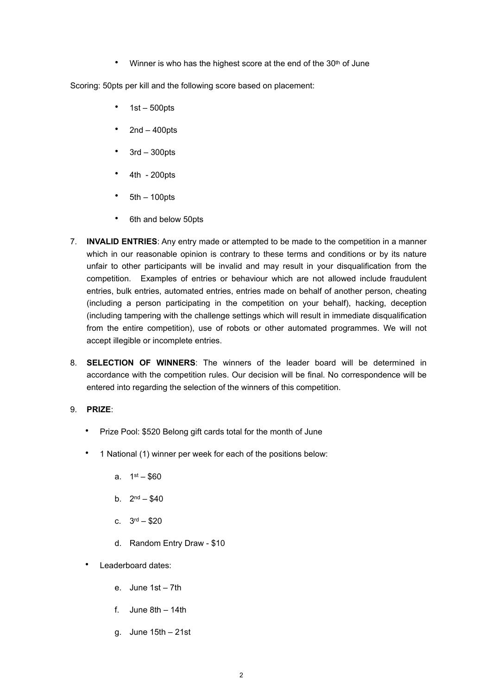Winner is who has the highest score at the end of the 30<sup>th</sup> of June

Scoring: 50pts per kill and the following score based on placement:

- $\cdot$  1st 500pts
- $2nd 400pts$
- $\cdot$  3rd 300pts
- 4th 200pts
- $5th 100pts$
- 6th and below 50pts
- 7. **INVALID ENTRIES**: Any entry made or attempted to be made to the competition in a manner which in our reasonable opinion is contrary to these terms and conditions or by its nature unfair to other participants will be invalid and may result in your disqualification from the competition. Examples of entries or behaviour which are not allowed include fraudulent entries, bulk entries, automated entries, entries made on behalf of another person, cheating (including a person participating in the competition on your behalf), hacking, deception (including tampering with the challenge settings which will result in immediate disqualification from the entire competition), use of robots or other automated programmes. We will not accept illegible or incomplete entries.
- 8. **SELECTION OF WINNERS**: The winners of the leader board will be determined in accordance with the competition rules. Our decision will be final. No correspondence will be entered into regarding the selection of the winners of this competition.

## 9. **PRIZE**:

- Prize Pool: \$520 Belong gift cards total for the month of June
- 1 National (1) winner per week for each of the positions below:
	- a.  $1^{st} $60$
	- b.  $2^{nd} $40$
	- c. 3rd \$20
	- d. Random Entry Draw \$10
- Leaderboard dates:
	- e. June 1st 7th
	- f. June  $8th 14th$
	- g. June 15th 21st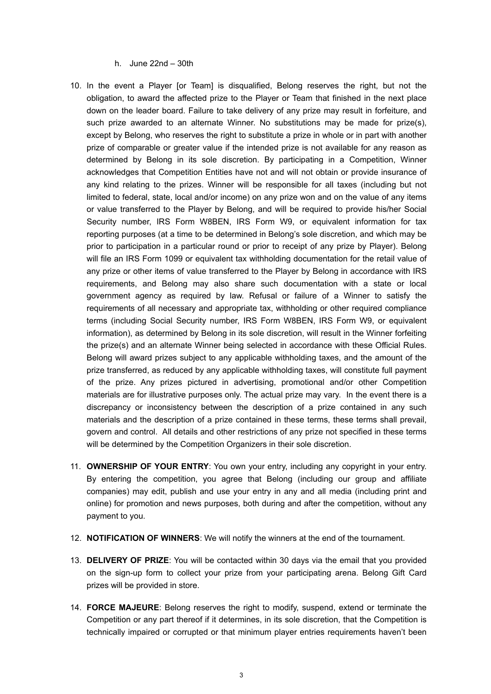h. June 22nd – 30th

- 10. In the event a Player [or Team] is disqualified, Belong reserves the right, but not the obligation, to award the affected prize to the Player or Team that finished in the next place down on the leader board. Failure to take delivery of any prize may result in forfeiture, and such prize awarded to an alternate Winner. No substitutions may be made for prize(s), except by Belong, who reserves the right to substitute a prize in whole or in part with another prize of comparable or greater value if the intended prize is not available for any reason as determined by Belong in its sole discretion. By participating in a Competition, Winner acknowledges that Competition Entities have not and will not obtain or provide insurance of any kind relating to the prizes. Winner will be responsible for all taxes (including but not limited to federal, state, local and/or income) on any prize won and on the value of any items or value transferred to the Player by Belong, and will be required to provide his/her Social Security number, IRS Form W8BEN, IRS Form W9, or equivalent information for tax reporting purposes (at a time to be determined in Belong's sole discretion, and which may be prior to participation in a particular round or prior to receipt of any prize by Player). Belong will file an IRS Form 1099 or equivalent tax withholding documentation for the retail value of any prize or other items of value transferred to the Player by Belong in accordance with IRS requirements, and Belong may also share such documentation with a state or local government agency as required by law. Refusal or failure of a Winner to satisfy the requirements of all necessary and appropriate tax, withholding or other required compliance terms (including Social Security number, IRS Form W8BEN, IRS Form W9, or equivalent information), as determined by Belong in its sole discretion, will result in the Winner forfeiting the prize(s) and an alternate Winner being selected in accordance with these Official Rules. Belong will award prizes subject to any applicable withholding taxes, and the amount of the prize transferred, as reduced by any applicable withholding taxes, will constitute full payment of the prize. Any prizes pictured in advertising, promotional and/or other Competition materials are for illustrative purposes only. The actual prize may vary. In the event there is a discrepancy or inconsistency between the description of a prize contained in any such materials and the description of a prize contained in these terms, these terms shall prevail, govern and control. All details and other restrictions of any prize not specified in these terms will be determined by the Competition Organizers in their sole discretion.
- 11. **OWNERSHIP OF YOUR ENTRY**: You own your entry, including any copyright in your entry. By entering the competition, you agree that Belong (including our group and affiliate companies) may edit, publish and use your entry in any and all media (including print and online) for promotion and news purposes, both during and after the competition, without any payment to you.
- 12. **NOTIFICATION OF WINNERS**: We will notify the winners at the end of the tournament.
- 13. **DELIVERY OF PRIZE**: You will be contacted within 30 days via the email that you provided on the sign-up form to collect your prize from your participating arena. Belong Gift Card prizes will be provided in store.
- 14. **FORCE MAJEURE**: Belong reserves the right to modify, suspend, extend or terminate the Competition or any part thereof if it determines, in its sole discretion, that the Competition is technically impaired or corrupted or that minimum player entries requirements haven't been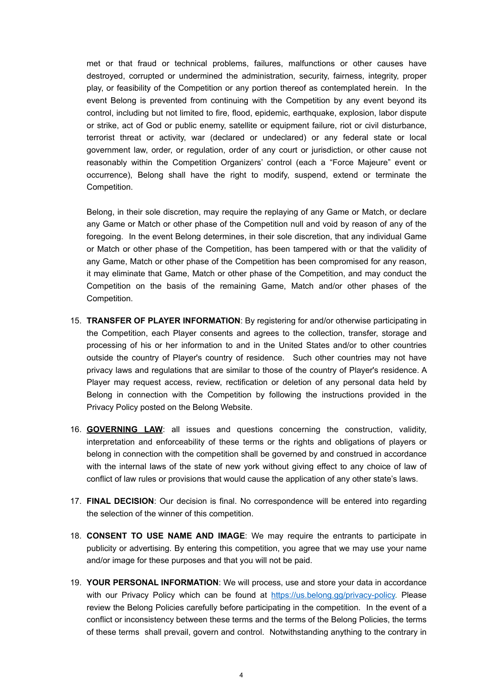met or that fraud or technical problems, failures, malfunctions or other causes have destroyed, corrupted or undermined the administration, security, fairness, integrity, proper play, or feasibility of the Competition or any portion thereof as contemplated herein. In the event Belong is prevented from continuing with the Competition by any event beyond its control, including but not limited to fire, flood, epidemic, earthquake, explosion, labor dispute or strike, act of God or public enemy, satellite or equipment failure, riot or civil disturbance, terrorist threat or activity, war (declared or undeclared) or any federal state or local government law, order, or regulation, order of any court or jurisdiction, or other cause not reasonably within the Competition Organizers' control (each a "Force Majeure" event or occurrence), Belong shall have the right to modify, suspend, extend or terminate the Competition.

Belong, in their sole discretion, may require the replaying of any Game or Match, or declare any Game or Match or other phase of the Competition null and void by reason of any of the foregoing. In the event Belong determines, in their sole discretion, that any individual Game or Match or other phase of the Competition, has been tampered with or that the validity of any Game, Match or other phase of the Competition has been compromised for any reason, it may eliminate that Game, Match or other phase of the Competition, and may conduct the Competition on the basis of the remaining Game, Match and/or other phases of the Competition.

- 15. **TRANSFER OF PLAYER INFORMATION**: By registering for and/or otherwise participating in the Competition, each Player consents and agrees to the collection, transfer, storage and processing of his or her information to and in the United States and/or to other countries outside the country of Player's country of residence. Such other countries may not have privacy laws and regulations that are similar to those of the country of Player's residence. A Player may request access, review, rectification or deletion of any personal data held by Belong in connection with the Competition by following the instructions provided in the Privacy Policy posted on the Belong Website.
- 16. **GOVERNING LAW**: all issues and questions concerning the construction, validity, interpretation and enforceability of these terms or the rights and obligations of players or belong in connection with the competition shall be governed by and construed in accordance with the internal laws of the state of new york without giving effect to any choice of law of conflict of law rules or provisions that would cause the application of any other state's laws.
- 17. **FINAL DECISION**: Our decision is final. No correspondence will be entered into regarding the selection of the winner of this competition.
- 18. **CONSENT TO USE NAME AND IMAGE**: We may require the entrants to participate in publicity or advertising. By entering this competition, you agree that we may use your name and/or image for these purposes and that you will not be paid.
- 19. **YOUR PERSONAL INFORMATION**: We will process, use and store your data in accordance with our Privacy Policy which can be found at [https://us.belong.gg/privacy-policy.](https://us.belong.gg/privacy-policy) Please review the Belong Policies carefully before participating in the competition. In the event of a conflict or inconsistency between these terms and the terms of the Belong Policies, the terms of these terms shall prevail, govern and control. Notwithstanding anything to the contrary in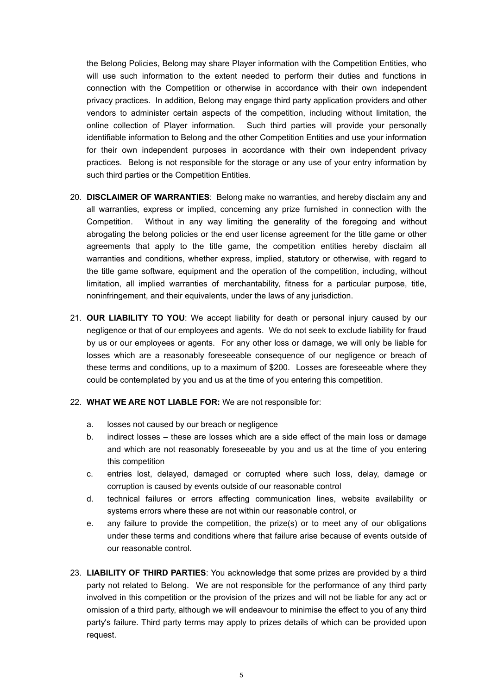the Belong Policies, Belong may share Player information with the Competition Entities, who will use such information to the extent needed to perform their duties and functions in connection with the Competition or otherwise in accordance with their own independent privacy practices. In addition, Belong may engage third party application providers and other vendors to administer certain aspects of the competition, including without limitation, the online collection of Player information. Such third parties will provide your personally identifiable information to Belong and the other Competition Entities and use your information for their own independent purposes in accordance with their own independent privacy practices. Belong is not responsible for the storage or any use of your entry information by such third parties or the Competition Entities.

- 20. **DISCLAIMER OF WARRANTIES**: Belong make no warranties, and hereby disclaim any and all warranties, express or implied, concerning any prize furnished in connection with the Competition. Without in any way limiting the generality of the foregoing and without abrogating the belong policies or the end user license agreement for the title game or other agreements that apply to the title game, the competition entities hereby disclaim all warranties and conditions, whether express, implied, statutory or otherwise, with regard to the title game software, equipment and the operation of the competition, including, without limitation, all implied warranties of merchantability, fitness for a particular purpose, title, noninfringement, and their equivalents, under the laws of any jurisdiction.
- 21. **OUR LIABILITY TO YOU**: We accept liability for death or personal injury caused by our negligence or that of our employees and agents. We do not seek to exclude liability for fraud by us or our employees or agents. For any other loss or damage, we will only be liable for losses which are a reasonably foreseeable consequence of our negligence or breach of these terms and conditions, up to a maximum of \$200. Losses are foreseeable where they could be contemplated by you and us at the time of you entering this competition.
- 22. **WHAT WE ARE NOT LIABLE FOR:** We are not responsible for:
	- a. losses not caused by our breach or negligence
	- b. indirect losses these are losses which are a side effect of the main loss or damage and which are not reasonably foreseeable by you and us at the time of you entering this competition
	- c. entries lost, delayed, damaged or corrupted where such loss, delay, damage or corruption is caused by events outside of our reasonable control
	- d. technical failures or errors affecting communication lines, website availability or systems errors where these are not within our reasonable control, or
	- e. any failure to provide the competition, the prize(s) or to meet any of our obligations under these terms and conditions where that failure arise because of events outside of our reasonable control.
- 23. **LIABILITY OF THIRD PARTIES**: You acknowledge that some prizes are provided by a third party not related to Belong. We are not responsible for the performance of any third party involved in this competition or the provision of the prizes and will not be liable for any act or omission of a third party, although we will endeavour to minimise the effect to you of any third party's failure. Third party terms may apply to prizes details of which can be provided upon request.